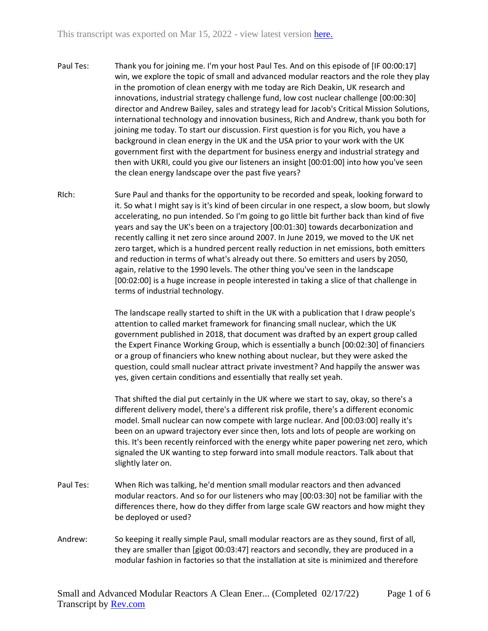- Paul Tes: Thank you for joining me. I'm your host Paul Tes. And on this episode of [IF 00:00:17] win, we explore the topic of small and advanced modular reactors and the role they play in the promotion of clean energy with me today are Rich Deakin, UK research and innovations, industrial strategy challenge fund, low cost nuclear challenge [00:00:30] director and Andrew Bailey, sales and strategy lead for Jacob's Critical Mission Solutions, international technology and innovation business, Rich and Andrew, thank you both for joining me today. To start our discussion. First question is for you Rich, you have a background in clean energy in the UK and the USA prior to your work with the UK government first with the department for business energy and industrial strategy and then with UKRI, could you give our listeners an insight [00:01:00] into how you've seen the clean energy landscape over the past five years?
- RIch: Sure Paul and thanks for the opportunity to be recorded and speak, looking forward to it. So what I might say is it's kind of been circular in one respect, a slow boom, but slowly accelerating, no pun intended. So I'm going to go little bit further back than kind of five years and say the UK's been on a trajectory [00:01:30] towards decarbonization and recently calling it net zero since around 2007. In June 2019, we moved to the UK net zero target, which is a hundred percent really reduction in net emissions, both emitters and reduction in terms of what's already out there. So emitters and users by 2050, again, relative to the 1990 levels. The other thing you've seen in the landscape [00:02:00] is a huge increase in people interested in taking a slice of that challenge in terms of industrial technology.

The landscape really started to shift in the UK with a publication that I draw people's attention to called market framework for financing small nuclear, which the UK government published in 2018, that document was drafted by an expert group called the Expert Finance Working Group, which is essentially a bunch [00:02:30] of financiers or a group of financiers who knew nothing about nuclear, but they were asked the question, could small nuclear attract private investment? And happily the answer was yes, given certain conditions and essentially that really set yeah.

That shifted the dial put certainly in the UK where we start to say, okay, so there's a different delivery model, there's a different risk profile, there's a different economic model. Small nuclear can now compete with large nuclear. And [00:03:00] really it's been on an upward trajectory ever since then, lots and lots of people are working on this. It's been recently reinforced with the energy white paper powering net zero, which signaled the UK wanting to step forward into small module reactors. Talk about that slightly later on.

- Paul Tes: When Rich was talking, he'd mention small modular reactors and then advanced modular reactors. And so for our listeners who may [00:03:30] not be familiar with the differences there, how do they differ from large scale GW reactors and how might they be deployed or used?
- Andrew: So keeping it really simple Paul, small modular reactors are as they sound, first of all, they are smaller than [gigot 00:03:47] reactors and secondly, they are produced in a modular fashion in factories so that the installation at site is minimized and therefore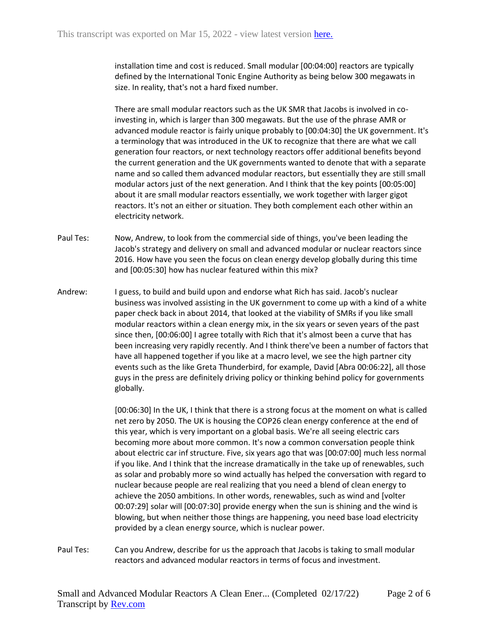installation time and cost is reduced. Small modular [00:04:00] reactors are typically defined by the International Tonic Engine Authority as being below 300 megawats in size. In reality, that's not a hard fixed number.

There are small modular reactors such as the UK SMR that Jacobs is involved in coinvesting in, which is larger than 300 megawats. But the use of the phrase AMR or advanced module reactor is fairly unique probably to [00:04:30] the UK government. It's a terminology that was introduced in the UK to recognize that there are what we call generation four reactors, or next technology reactors offer additional benefits beyond the current generation and the UK governments wanted to denote that with a separate name and so called them advanced modular reactors, but essentially they are still small modular actors just of the next generation. And I think that the key points [00:05:00] about it are small modular reactors essentially, we work together with larger gigot reactors. It's not an either or situation. They both complement each other within an electricity network.

- Paul Tes: Now, Andrew, to look from the commercial side of things, you've been leading the Jacob's strategy and delivery on small and advanced modular or nuclear reactors since 2016. How have you seen the focus on clean energy develop globally during this time and [00:05:30] how has nuclear featured within this mix?
- Andrew: I guess, to build and build upon and endorse what Rich has said. Jacob's nuclear business was involved assisting in the UK government to come up with a kind of a white paper check back in about 2014, that looked at the viability of SMRs if you like small modular reactors within a clean energy mix, in the six years or seven years of the past since then, [00:06:00] I agree totally with Rich that it's almost been a curve that has been increasing very rapidly recently. And I think there've been a number of factors that have all happened together if you like at a macro level, we see the high partner city events such as the like Greta Thunderbird, for example, David [Abra 00:06:22], all those guys in the press are definitely driving policy or thinking behind policy for governments globally.

[00:06:30] In the UK, I think that there is a strong focus at the moment on what is called net zero by 2050. The UK is housing the COP26 clean energy conference at the end of this year, which is very important on a global basis. We're all seeing electric cars becoming more about more common. It's now a common conversation people think about electric car inf structure. Five, six years ago that was [00:07:00] much less normal if you like. And I think that the increase dramatically in the take up of renewables, such as solar and probably more so wind actually has helped the conversation with regard to nuclear because people are real realizing that you need a blend of clean energy to achieve the 2050 ambitions. In other words, renewables, such as wind and [volter 00:07:29] solar will [00:07:30] provide energy when the sun is shining and the wind is blowing, but when neither those things are happening, you need base load electricity provided by a clean energy source, which is nuclear power.

Paul Tes: Can you Andrew, describe for us the approach that Jacobs is taking to small modular reactors and advanced modular reactors in terms of focus and investment.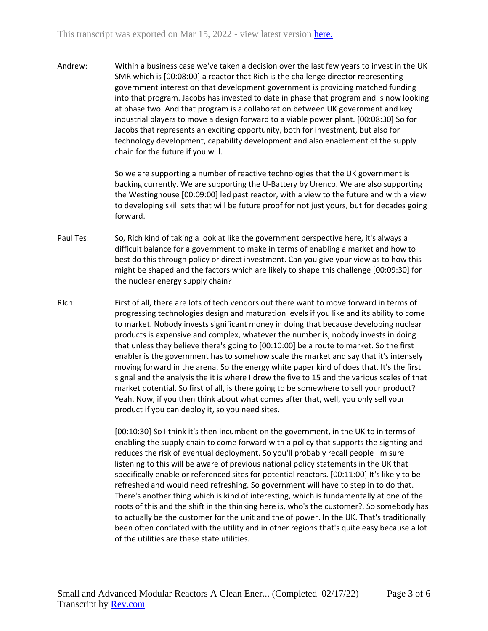Andrew: Within a business case we've taken a decision over the last few years to invest in the UK SMR which is [00:08:00] a reactor that Rich is the challenge director representing government interest on that development government is providing matched funding into that program. Jacobs has invested to date in phase that program and is now looking at phase two. And that program is a collaboration between UK government and key industrial players to move a design forward to a viable power plant. [00:08:30] So for Jacobs that represents an exciting opportunity, both for investment, but also for technology development, capability development and also enablement of the supply chain for the future if you will.

> So we are supporting a number of reactive technologies that the UK government is backing currently. We are supporting the U-Battery by Urenco. We are also supporting the Westinghouse [00:09:00] led past reactor, with a view to the future and with a view to developing skill sets that will be future proof for not just yours, but for decades going forward.

- Paul Tes: So, Rich kind of taking a look at like the government perspective here, it's always a difficult balance for a government to make in terms of enabling a market and how to best do this through policy or direct investment. Can you give your view as to how this might be shaped and the factors which are likely to shape this challenge [00:09:30] for the nuclear energy supply chain?
- RIch: First of all, there are lots of tech vendors out there want to move forward in terms of progressing technologies design and maturation levels if you like and its ability to come to market. Nobody invests significant money in doing that because developing nuclear products is expensive and complex, whatever the number is, nobody invests in doing that unless they believe there's going to [00:10:00] be a route to market. So the first enabler is the government has to somehow scale the market and say that it's intensely moving forward in the arena. So the energy white paper kind of does that. It's the first signal and the analysis the it is where I drew the five to 15 and the various scales of that market potential. So first of all, is there going to be somewhere to sell your product? Yeah. Now, if you then think about what comes after that, well, you only sell your product if you can deploy it, so you need sites.

[00:10:30] So I think it's then incumbent on the government, in the UK to in terms of enabling the supply chain to come forward with a policy that supports the sighting and reduces the risk of eventual deployment. So you'll probably recall people I'm sure listening to this will be aware of previous national policy statements in the UK that specifically enable or referenced sites for potential reactors. [00:11:00] It's likely to be refreshed and would need refreshing. So government will have to step in to do that. There's another thing which is kind of interesting, which is fundamentally at one of the roots of this and the shift in the thinking here is, who's the customer?. So somebody has to actually be the customer for the unit and the of power. In the UK. That's traditionally been often conflated with the utility and in other regions that's quite easy because a lot of the utilities are these state utilities.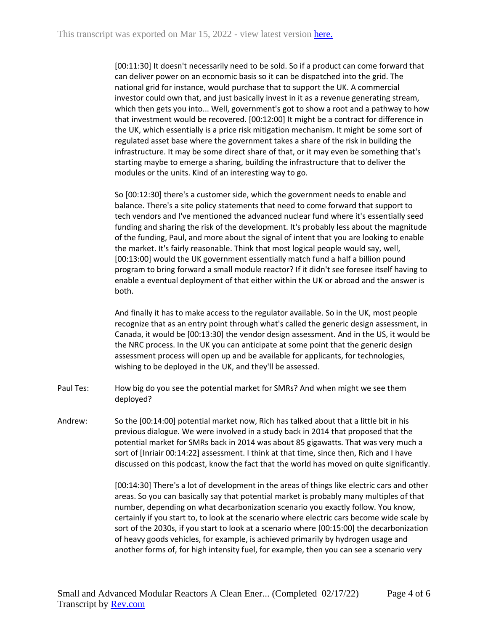[00:11:30] It doesn't necessarily need to be sold. So if a product can come forward that can deliver power on an economic basis so it can be dispatched into the grid. The national grid for instance, would purchase that to support the UK. A commercial investor could own that, and just basically invest in it as a revenue generating stream, which then gets you into... Well, government's got to show a root and a pathway to how that investment would be recovered. [00:12:00] It might be a contract for difference in the UK, which essentially is a price risk mitigation mechanism. It might be some sort of regulated asset base where the government takes a share of the risk in building the infrastructure. It may be some direct share of that, or it may even be something that's starting maybe to emerge a sharing, building the infrastructure that to deliver the modules or the units. Kind of an interesting way to go.

So [00:12:30] there's a customer side, which the government needs to enable and balance. There's a site policy statements that need to come forward that support to tech vendors and I've mentioned the advanced nuclear fund where it's essentially seed funding and sharing the risk of the development. It's probably less about the magnitude of the funding, Paul, and more about the signal of intent that you are looking to enable the market. It's fairly reasonable. Think that most logical people would say, well, [00:13:00] would the UK government essentially match fund a half a billion pound program to bring forward a small module reactor? If it didn't see foresee itself having to enable a eventual deployment of that either within the UK or abroad and the answer is both.

And finally it has to make access to the regulator available. So in the UK, most people recognize that as an entry point through what's called the generic design assessment, in Canada, it would be [00:13:30] the vendor design assessment. And in the US, it would be the NRC process. In the UK you can anticipate at some point that the generic design assessment process will open up and be available for applicants, for technologies, wishing to be deployed in the UK, and they'll be assessed.

- Paul Tes: How big do you see the potential market for SMRs? And when might we see them deployed?
- Andrew: So the [00:14:00] potential market now, Rich has talked about that a little bit in his previous dialogue. We were involved in a study back in 2014 that proposed that the potential market for SMRs back in 2014 was about 85 gigawatts. That was very much a sort of [Inriair 00:14:22] assessment. I think at that time, since then, Rich and I have discussed on this podcast, know the fact that the world has moved on quite significantly.

[00:14:30] There's a lot of development in the areas of things like electric cars and other areas. So you can basically say that potential market is probably many multiples of that number, depending on what decarbonization scenario you exactly follow. You know, certainly if you start to, to look at the scenario where electric cars become wide scale by sort of the 2030s, if you start to look at a scenario where [00:15:00] the decarbonization of heavy goods vehicles, for example, is achieved primarily by hydrogen usage and another forms of, for high intensity fuel, for example, then you can see a scenario very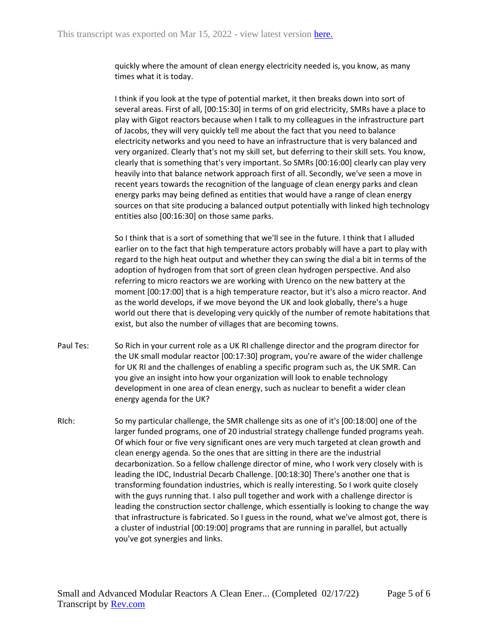quickly where the amount of clean energy electricity needed is, you know, as many times what it is today.

I think if you look at the type of potential market, it then breaks down into sort of several areas. First of all, [00:15:30] in terms of on grid electricity, SMRs have a place to play with Gigot reactors because when I talk to my colleagues in the infrastructure part of Jacobs, they will very quickly tell me about the fact that you need to balance electricity networks and you need to have an infrastructure that is very balanced and very organized. Clearly that's not my skill set, but deferring to their skill sets. You know, clearly that is something that's very important. So SMRs [00:16:00] clearly can play very heavily into that balance network approach first of all. Secondly, we've seen a move in recent years towards the recognition of the language of clean energy parks and clean energy parks may being defined as entities that would have a range of clean energy sources on that site producing a balanced output potentially with linked high technology entities also [00:16:30] on those same parks.

So I think that is a sort of something that we'll see in the future. I think that I alluded earlier on to the fact that high temperature actors probably will have a part to play with regard to the high heat output and whether they can swing the dial a bit in terms of the adoption of hydrogen from that sort of green clean hydrogen perspective. And also referring to micro reactors we are working with Urenco on the new battery at the moment [00:17:00] that is a high temperature reactor, but it's also a micro reactor. And as the world develops, if we move beyond the UK and look globally, there's a huge world out there that is developing very quickly of the number of remote habitations that exist, but also the number of villages that are becoming towns.

- Paul Tes: So Rich in your current role as a UK RI challenge director and the program director for the UK small modular reactor [00:17:30] program, you're aware of the wider challenge for UK RI and the challenges of enabling a specific program such as, the UK SMR. Can you give an insight into how your organization will look to enable technology development in one area of clean energy, such as nuclear to benefit a wider clean energy agenda for the UK?
- RIch: So my particular challenge, the SMR challenge sits as one of it's [00:18:00] one of the larger funded programs, one of 20 industrial strategy challenge funded programs yeah. Of which four or five very significant ones are very much targeted at clean growth and clean energy agenda. So the ones that are sitting in there are the industrial decarbonization. So a fellow challenge director of mine, who I work very closely with is leading the IDC, Industrial Decarb Challenge. [00:18:30] There's another one that is transforming foundation industries, which is really interesting. So I work quite closely with the guys running that. I also pull together and work with a challenge director is leading the construction sector challenge, which essentially is looking to change the way that infrastructure is fabricated. So I guess in the round, what we've almost got, there is a cluster of industrial [00:19:00] programs that are running in parallel, but actually you've got synergies and links.